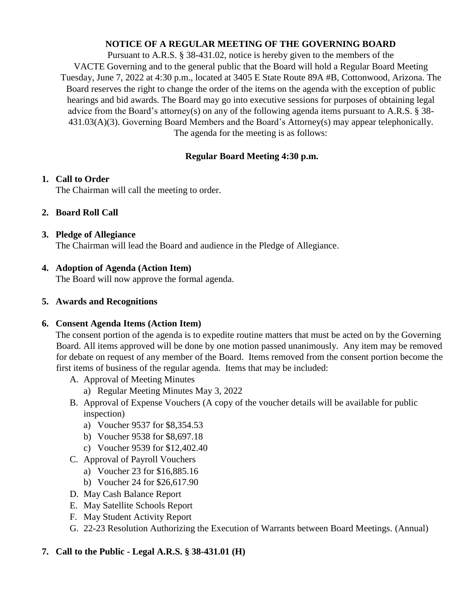#### **NOTICE OF A REGULAR MEETING OF THE GOVERNING BOARD**

Pursuant to A.R.S. § 38-431.02, notice is hereby given to the members of the VACTE Governing and to the general public that the Board will hold a Regular Board Meeting Tuesday, June 7, 2022 at 4:30 p.m., located at 3405 E State Route 89A #B, Cottonwood, Arizona. The Board reserves the right to change the order of the items on the agenda with the exception of public hearings and bid awards. The Board may go into executive sessions for purposes of obtaining legal advice from the Board's attorney(s) on any of the following agenda items pursuant to A.R.S. § 38- 431.03(A)(3). Governing Board Members and the Board's Attorney(s) may appear telephonically. The agenda for the meeting is as follows:

## **Regular Board Meeting 4:30 p.m.**

### **1. Call to Order**

The Chairman will call the meeting to order.

### **2. Board Roll Call**

#### **3. Pledge of Allegiance**

The Chairman will lead the Board and audience in the Pledge of Allegiance.

### **4. Adoption of Agenda (Action Item)**

The Board will now approve the formal agenda.

#### **5. Awards and Recognitions**

### **6. Consent Agenda Items (Action Item)**

The consent portion of the agenda is to expedite routine matters that must be acted on by the Governing Board. All items approved will be done by one motion passed unanimously. Any item may be removed for debate on request of any member of the Board. Items removed from the consent portion become the first items of business of the regular agenda. Items that may be included:

- A. Approval of Meeting Minutes
	- a) Regular Meeting Minutes May 3, 2022
- B. Approval of Expense Vouchers (A copy of the voucher details will be available for public inspection)
	- a) Voucher 9537 for \$8,354.53
	- b) Voucher 9538 for \$8,697.18
	- c) Voucher 9539 for \$12,402.40
- C. Approval of Payroll Vouchers
	- a) Voucher 23 for \$16,885.16
	- b) Voucher 24 for \$26,617.90
- D. May Cash Balance Report
- E. May Satellite Schools Report
- F. May Student Activity Report
- G. 22-23 Resolution Authorizing the Execution of Warrants between Board Meetings. (Annual)

### **7. Call to the Public - Legal A.R.S. § 38-431.01 (H)**